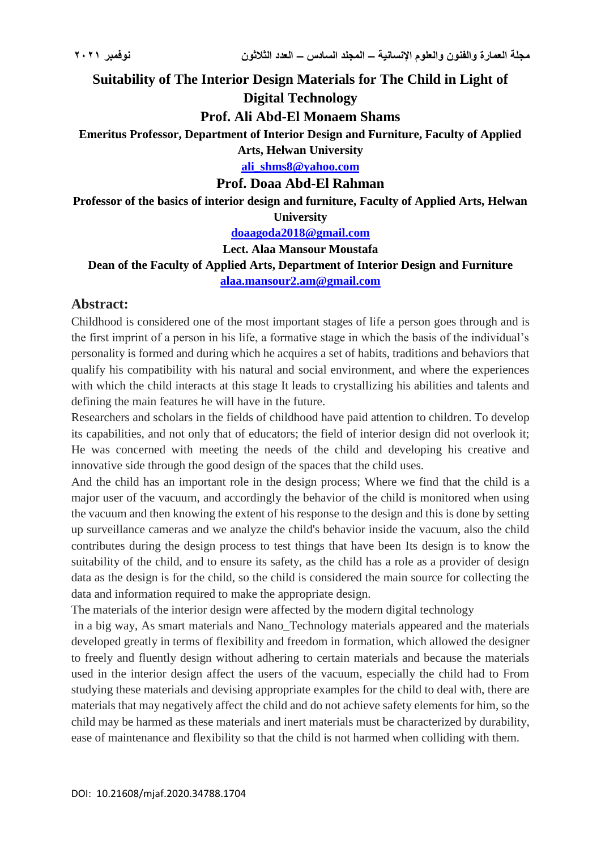**Suitability of The Interior Design Materials for The Child in Light of** 

## **Digital Technology**

## **Prof. Ali Abd-El Monaem Shams**

**Emeritus Professor, Department of Interior Design and Furniture, Faculty of Applied** 

**Arts, Helwan University**

**[ali\\_shms8@yahoo.com](mailto:ali_shms8@yahoo.com)**

## **Prof. Doaa Abd-El Rahman**

**Professor of the basics of interior design and furniture, Faculty of Applied Arts, Helwan University**

**[doaagoda2018@gmail.com](mailto:doaagoda2018@gmail.com)**

#### **Lect. Alaa Mansour Moustafa**

**Dean of the Faculty of Applied Arts, Department of Interior Design and Furniture [alaa.mansour2.am@gmail.com](mailto:alaa.mansour2.am@gmail.com)**

## **Abstract:**

Childhood is considered one of the most important stages of life a person goes through and is the first imprint of a person in his life, a formative stage in which the basis of the individual's personality is formed and during which he acquires a set of habits, traditions and behaviors that qualify his compatibility with his natural and social environment, and where the experiences with which the child interacts at this stage It leads to crystallizing his abilities and talents and defining the main features he will have in the future.

Researchers and scholars in the fields of childhood have paid attention to children. To develop its capabilities, and not only that of educators; the field of interior design did not overlook it; He was concerned with meeting the needs of the child and developing his creative and innovative side through the good design of the spaces that the child uses.

And the child has an important role in the design process; Where we find that the child is a major user of the vacuum, and accordingly the behavior of the child is monitored when using the vacuum and then knowing the extent of his response to the design and this is done by setting up surveillance cameras and we analyze the child's behavior inside the vacuum, also the child contributes during the design process to test things that have been Its design is to know the suitability of the child, and to ensure its safety, as the child has a role as a provider of design data as the design is for the child, so the child is considered the main source for collecting the data and information required to make the appropriate design.

The materials of the interior design were affected by the modern digital technology

in a big way, As smart materials and Nano\_Technology materials appeared and the materials developed greatly in terms of flexibility and freedom in formation, which allowed the designer to freely and fluently design without adhering to certain materials and because the materials used in the interior design affect the users of the vacuum, especially the child had to From studying these materials and devising appropriate examples for the child to deal with, there are materials that may negatively affect the child and do not achieve safety elements for him, so the child may be harmed as these materials and inert materials must be characterized by durability, ease of maintenance and flexibility so that the child is not harmed when colliding with them.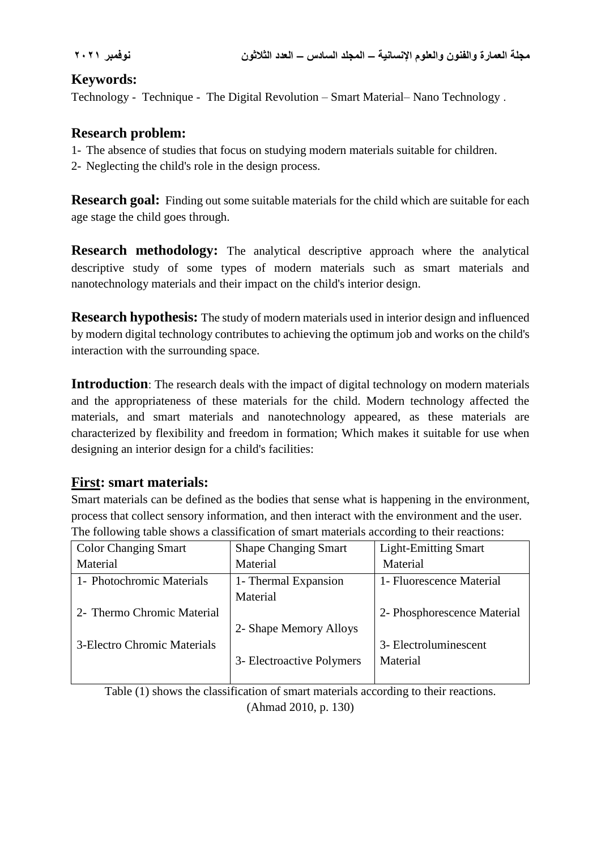# **Keywords:**

Technology - Technique - The Digital Revolution – Smart Material– Nano Technology .

# **Research problem:**

- 1- The absence of studies that focus on studying modern materials suitable for children.
- 2- Neglecting the child's role in the design process.

**Research goal:** Finding out some suitable materials for the child which are suitable for each age stage the child goes through.

**Research methodology:** The analytical descriptive approach where the analytical descriptive study of some types of modern materials such as smart materials and nanotechnology materials and their impact on the child's interior design.

**Research hypothesis:** The study of modern materials used in interior design and influenced by modern digital technology contributes to achieving the optimum job and works on the child's interaction with the surrounding space.

**Introduction**: The research deals with the impact of digital technology on modern materials and the appropriateness of these materials for the child. Modern technology affected the materials, and smart materials and nanotechnology appeared, as these materials are characterized by flexibility and freedom in formation; Which makes it suitable for use when designing an interior design for a child's facilities:

# **First: smart materials:**

Smart materials can be defined as the bodies that sense what is happening in the environment, process that collect sensory information, and then interact with the environment and the user. The following table shows a classification of smart materials according to their reactions:

| <b>Color Changing Smart</b> | <b>Shape Changing Smart</b> | <b>Light-Emitting Smart</b> |
|-----------------------------|-----------------------------|-----------------------------|
| Material                    | Material                    | Material                    |
| 1- Photochromic Materials   | 1- Thermal Expansion        | 1- Fluorescence Material    |
|                             | Material                    |                             |
| 2- Thermo Chromic Material  |                             | 2- Phosphorescence Material |
|                             | 2- Shape Memory Alloys      |                             |
| 3-Electro Chromic Materials |                             | 3- Electroluminescent       |
|                             | 3- Electroactive Polymers   | Material                    |
|                             |                             |                             |

Table (1) shows the classification of smart materials according to their reactions.

(Ahmad 2010, p. 130)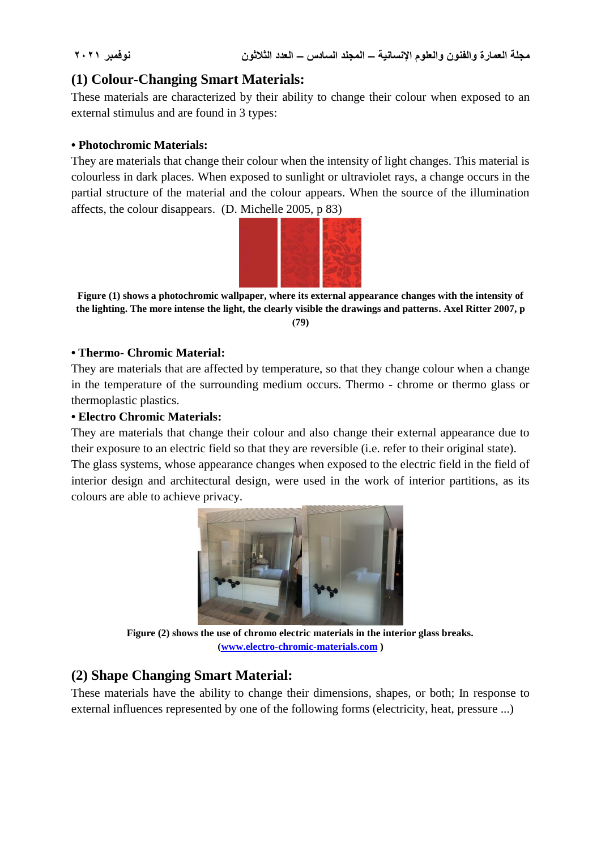# **(1) Colour-Changing Smart Materials:**

These materials are characterized by their ability to change their colour when exposed to an external stimulus and are found in 3 types:

## **• Photochromic Materials:**

They are materials that change their colour when the intensity of light changes. This material is colourless in dark places. When exposed to sunlight or ultraviolet rays, a change occurs in the partial structure of the material and the colour appears. When the source of the illumination affects, the colour disappears. (D. Michelle 2005, p 83)



**Figure (1) shows a photochromic wallpaper, where its external appearance changes with the intensity of the lighting. The more intense the light, the clearly visible the drawings and patterns. Axel Ritter 2007, p )79)**

#### **• Thermo- Chromic Material:**

They are materials that are affected by temperature, so that they change colour when a change in the temperature of the surrounding medium occurs. Thermo - chrome or thermo glass or thermoplastic plastics.

#### **• Electro Chromic Materials:**

They are materials that change their colour and also change their external appearance due to their exposure to an electric field so that they are reversible (i.e. refer to their original state).

The glass systems, whose appearance changes when exposed to the electric field in the field of interior design and architectural design, were used in the work of interior partitions, as its colours are able to achieve privacy.



**Figure (2) shows the use of chromo electric materials in the interior glass breaks. [\)www.electro-chromic-materials.com](http://www.electro-chromic-materials.com/) )**

# **(2) Shape Changing Smart Material:**

These materials have the ability to change their dimensions, shapes, or both; In response to external influences represented by one of the following forms (electricity, heat, pressure ...)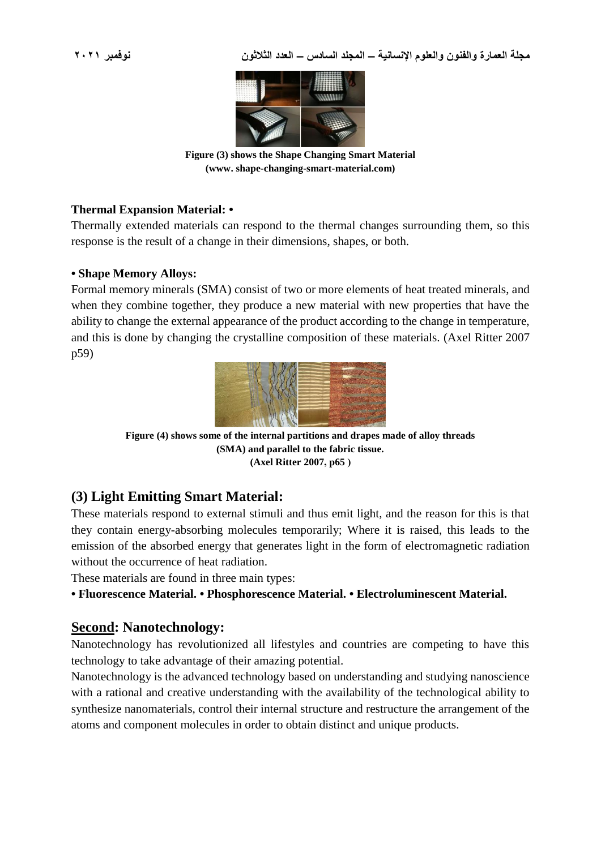

**Figure (3) shows the Shape Changing Smart Material (www. shape-changing-smart-material.com)**

## **Thermal Expansion Material: •**

Thermally extended materials can respond to the thermal changes surrounding them, so this response is the result of a change in their dimensions, shapes, or both.

#### **• Shape Memory Alloys:**

Formal memory minerals (SMA) consist of two or more elements of heat treated minerals, and when they combine together, they produce a new material with new properties that have the ability to change the external appearance of the product according to the change in temperature, and this is done by changing the crystalline composition of these materials. (Axel Ritter 2007 p59)



**Figure (4) shows some of the internal partitions and drapes made of alloy threads (SMA) and parallel to the fabric tissue. (Axel Ritter 2007, p65 (**

# **(3) Light Emitting Smart Material:**

These materials respond to external stimuli and thus emit light, and the reason for this is that they contain energy-absorbing molecules temporarily; Where it is raised, this leads to the emission of the absorbed energy that generates light in the form of electromagnetic radiation without the occurrence of heat radiation.

These materials are found in three main types:

**• Fluorescence Material. • Phosphorescence Material. • Electroluminescent Material.**

## **Second: Nanotechnology:**

Nanotechnology has revolutionized all lifestyles and countries are competing to have this technology to take advantage of their amazing potential.

Nanotechnology is the advanced technology based on understanding and studying nanoscience with a rational and creative understanding with the availability of the technological ability to synthesize nanomaterials, control their internal structure and restructure the arrangement of the atoms and component molecules in order to obtain distinct and unique products.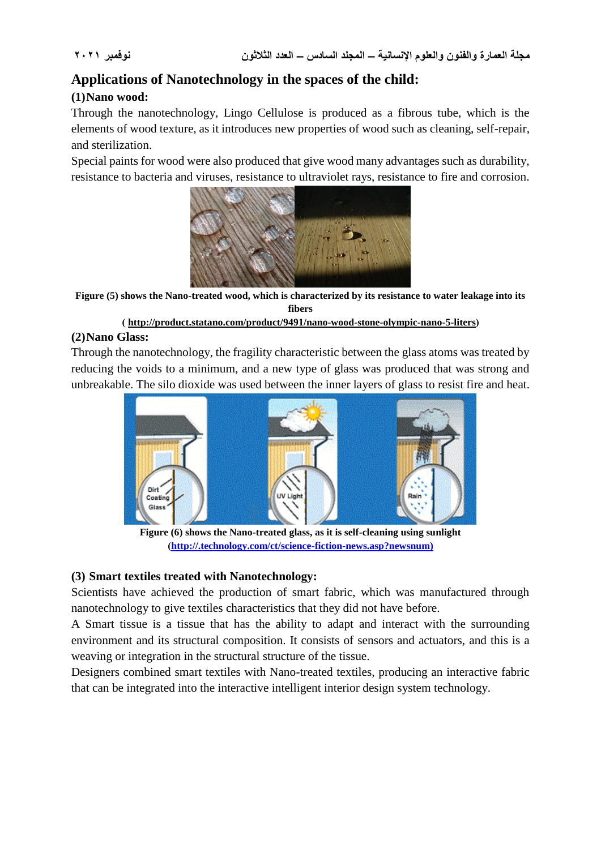# **Applications of Nanotechnology in the spaces of the child:**

## **(1)Nano wood:**

Through the nanotechnology, Lingo Cellulose is produced as a fibrous tube, which is the elements of wood texture, as it introduces new properties of wood such as cleaning, self-repair, and sterilization.

Special paints for wood were also produced that give wood many advantages such as durability, resistance to bacteria and viruses, resistance to ultraviolet rays, resistance to fire and corrosion.



**Figure (5) shows the Nano-treated wood, which is characterized by its resistance to water leakage into its fibers**

#### **) [http://product.statano.com/product/9491/nano-wood-stone-olympic-nano-5-liters\(](http://product.statano.com/product/9491/nano-wood-stone-olympic-nano-5-liters)**

## **(2)Nano Glass:**

Through the nanotechnology, the fragility characteristic between the glass atoms was treated by reducing the voids to a minimum, and a new type of glass was produced that was strong and unbreakable. The silo dioxide was used between the inner layers of glass to resist fire and heat.



**Figure (6) shows the Nano-treated glass, as it is self-cleaning using sunlight [\)http://.technology.com/ct/science-fiction-news.asp?newsnum\)](http://.technology.com/ct/science-fiction-news.asp?newsnum))**

## **(3) Smart textiles treated with Nanotechnology:**

Scientists have achieved the production of smart fabric, which was manufactured through nanotechnology to give textiles characteristics that they did not have before.

A Smart tissue is a tissue that has the ability to adapt and interact with the surrounding environment and its structural composition. It consists of sensors and actuators, and this is a weaving or integration in the structural structure of the tissue.

Designers combined smart textiles with Nano-treated textiles, producing an interactive fabric that can be integrated into the interactive intelligent interior design system technology.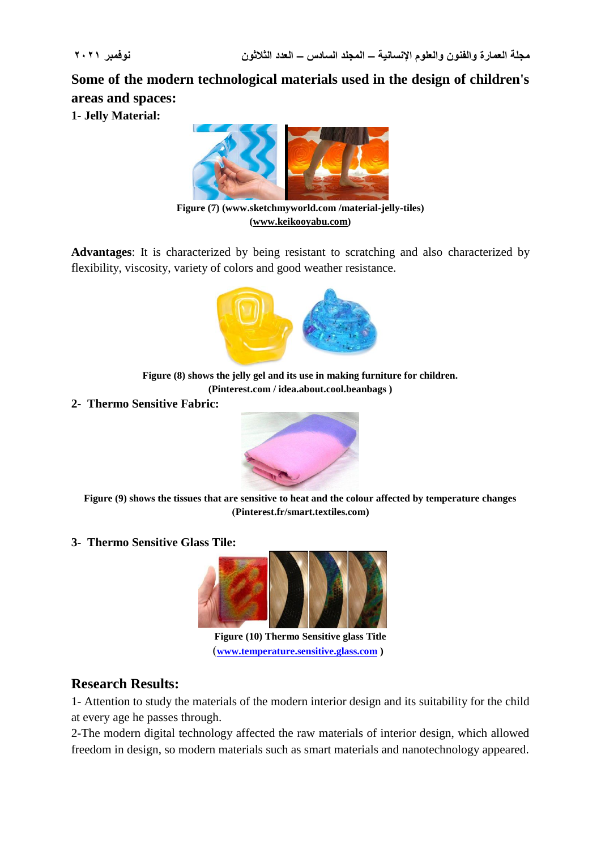**Some of the modern technological materials used in the design of children's areas and spaces:**

**1- Jelly Material:** 



**Figure (7) (www.sketchmyworld.com /material-jelly-tiles) [\(www.keikooyabu.com\)](http://www.keikooyabu.com/)**

**Advantages**: It is characterized by being resistant to scratching and also characterized by flexibility, viscosity, variety of colors and good weather resistance.



**Figure (8) shows the jelly gel and its use in making furniture for children. (Pinterest.com / idea.about.cool.beanbags )**

**2- Thermo Sensitive Fabric:**



**Figure (9) shows the tissues that are sensitive to heat and the colour affected by temperature changes )Pinterest.fr/smart.textiles.com)**

**3- Thermo Sensitive Glass Tile:**



**Figure (10) Thermo Sensitive glass Title** )**[www.temperature.sensitive.glass.com](http://www.temperature.sensitive.glass.com/) )** 

# **Research Results:**

1- Attention to study the materials of the modern interior design and its suitability for the child at every age he passes through.

2-The modern digital technology affected the raw materials of interior design, which allowed freedom in design, so modern materials such as smart materials and nanotechnology appeared.